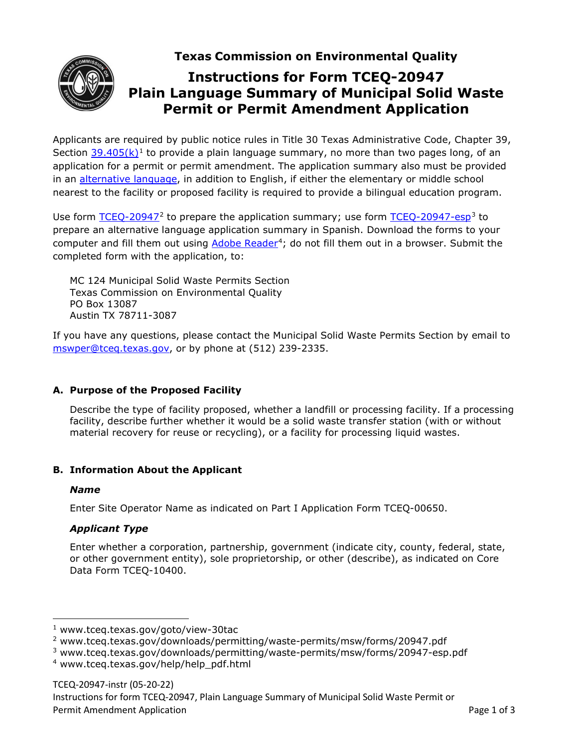**Texas Commission on Environmental Quality**



# **Instructions for Form TCEQ-20947 Plain Language Summary of Municipal Solid Waste Permit or Permit Amendment Application**

Applicants are required by public notice rules in Title 30 Texas Administrative Code, Chapter 39, Section 39.405 $(k)$ <sup>[1](#page-0-0)</sup> to provide a plain language summary, no more than two pages long, of an application for a permit or permit amendment. The application summary also must be provided in an [alternative language,](https://www.tceq.texas.gov/permitting/waste_permits/msw_permits/msw_notice.html#altlang) in addition to English, if either the elementary or middle school nearest to the facility or proposed facility is required to provide a bilingual education program.

Use form  $TCEQ-20947<sup>2</sup>$  $TCEQ-20947<sup>2</sup>$  $TCEQ-20947<sup>2</sup>$  to prepare the application summary; use form  $TCEQ-20947-esp<sup>3</sup>$  $TCEQ-20947-esp<sup>3</sup>$  $TCEQ-20947-esp<sup>3</sup>$  to</u></u> prepare an alternative language application summary in Spanish. Download the forms to your computer and fill them out using [Adobe Reader](https://www.tceq.texas.gov/help/help_pdf.html)<sup>[4](#page-0-3)</sup>; do not fill them out in a browser. Submit the completed form with the application, to:

MC 124 Municipal Solid Waste Permits Section Texas Commission on Environmental Quality PO Box 13087 Austin TX 78711-3087

If you have any questions, please contact the Municipal Solid Waste Permits Section by email to [mswper@tceq.texas.gov,](mailto:mswper@tceq.texas.gov) or by phone at (512) 239-2335.

# **A. Purpose of the Proposed Facility**

Describe the type of facility proposed, whether a landfill or processing facility. If a processing facility, describe further whether it would be a solid waste transfer station (with or without material recovery for reuse or recycling), or a facility for processing liquid wastes.

# **B. Information About the Applicant**

# *Name*

Enter Site Operator Name as indicated on Part I Application Form TCEQ-00650.

# *Applicant Type*

Enter whether a corporation, partnership, government (indicate city, county, federal, state, or other government entity), sole proprietorship, or other (describe), as indicated on Core Data Form TCEQ-10400.

<span id="page-0-0"></span><sup>1</sup> www.tceq.texas.gov/goto/view-30tac

<span id="page-0-1"></span><sup>2</sup> www.tceq.texas.gov/downloads/permitting/waste-permits/msw/forms/20947.pdf

<span id="page-0-2"></span><sup>3</sup> www.tceq.texas.gov/downloads/permitting/waste-permits/msw/forms/20947-esp.pdf

<span id="page-0-3"></span><sup>4</sup> www.tceq.texas.gov/help/help\_pdf.html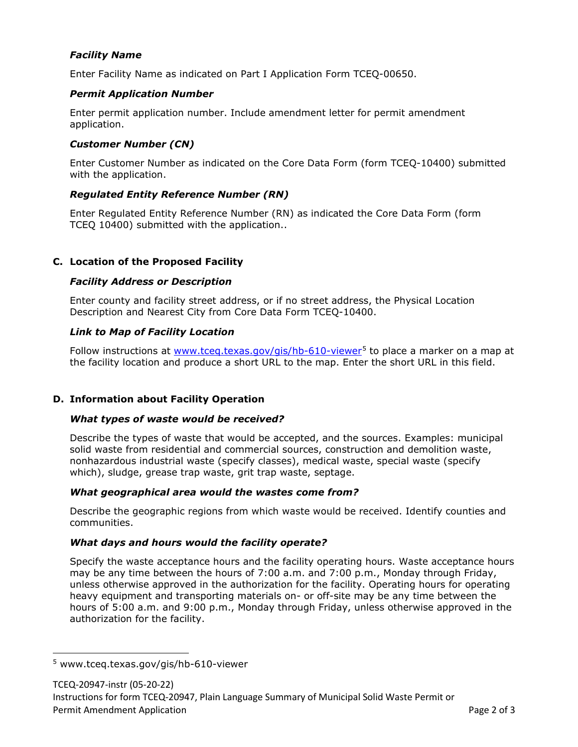# *Facility Name*

Enter Facility Name as indicated on Part I Application Form TCEQ-00650.

## *Permit Application Number*

Enter permit application number. Include amendment letter for permit amendment application.

#### *Customer Number (CN)*

Enter Customer Number as indicated on the Core Data Form (form TCEQ-10400) submitted with the application.

# *Regulated Entity Reference Number (RN)*

Enter Regulated Entity Reference Number (RN) as indicated the Core Data Form (form TCEQ 10400) submitted with the application..

# **C. Location of the Proposed Facility**

#### *Facility Address or Description*

Enter county and facility street address, or if no street address, the Physical Location Description and Nearest City from Core Data Form TCEQ-10400.

#### *Link to Map of Facility Location*

Follow instructions at [www.tceq.texas.gov/gis/hb-610-viewer](https://www.tceq.texas.gov/gis/hb-610-viewer)<sup>[5](#page-1-0)</sup> to place a marker on a map at the facility location and produce a short URL to the map. Enter the short URL in this field.

# **D. Information about Facility Operation**

#### *What types of waste would be received?*

Describe the types of waste that would be accepted, and the sources. Examples: municipal solid waste from residential and commercial sources, construction and demolition waste, nonhazardous industrial waste (specify classes), medical waste, special waste (specify which), sludge, grease trap waste, grit trap waste, septage.

# *What geographical area would the wastes come from?*

Describe the geographic regions from which waste would be received. Identify counties and communities.

# *What days and hours would the facility operate?*

Specify the waste acceptance hours and the facility operating hours. Waste acceptance hours may be any time between the hours of 7:00 a.m. and 7:00 p.m., Monday through Friday, unless otherwise approved in the authorization for the facility. Operating hours for operating heavy equipment and transporting materials on- or off-site may be any time between the hours of 5:00 a.m. and 9:00 p.m., Monday through Friday, unless otherwise approved in the authorization for the facility.

<span id="page-1-0"></span><sup>5</sup> www.tceq.texas.gov/gis/hb-610-viewer